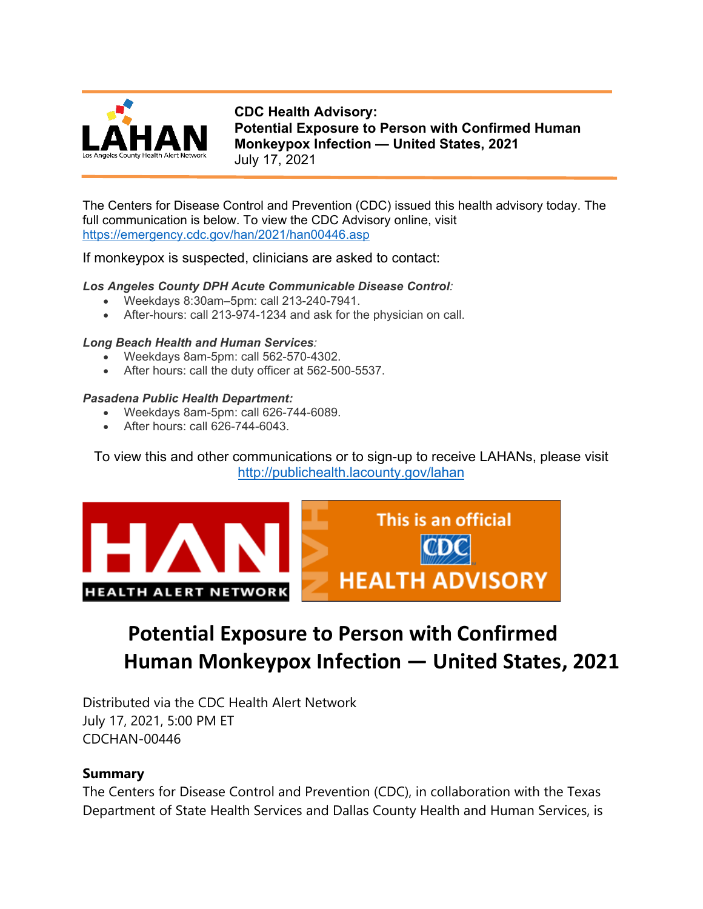

**CDC Health Advisory: Potential Exposure to Person with Confirmed Human Monkeypox Infection — United States, 2021** July 17, 2021

The Centers for Disease Control and Prevention (CDC) issued this health advisory today. The full communication is below. To view the CDC Advisory online, visit <https://emergency.cdc.gov/han/2021/han00446.asp>

If monkeypox is suspected, clinicians are asked to contact:

#### *Los Angeles County DPH Acute Communicable Disease Control:*

- Weekdays 8:30am–5pm: call 213-240-7941.
- After-hours: call 213-974-1234 and ask for the physician on call.

#### *Long Beach Health and Human Services:*

- Weekdays 8am-5pm: call 562-570-4302.
- After hours: call the duty officer at 562-500-5537.

#### *Pasadena Public Health Department:*

- Weekdays 8am-5pm: call 626-744-6089.
- After hours: call 626-744-6043.

# To view this and other communications or to sign-up to receive LAHANs, please visit <http://publichealth.lacounty.gov/lahan>



# **Potential Exposure to Person with Confirmed Human Monkeypox Infection — United States, 2021**

Distributed via the CDC Health Alert Network July 17, 2021, 5:00 PM ET CDCHAN-00446

# **Summary**

The Centers for Disease Control and Prevention (CDC), in collaboration with the Texas Department of State Health Services and Dallas County Health and Human Services, is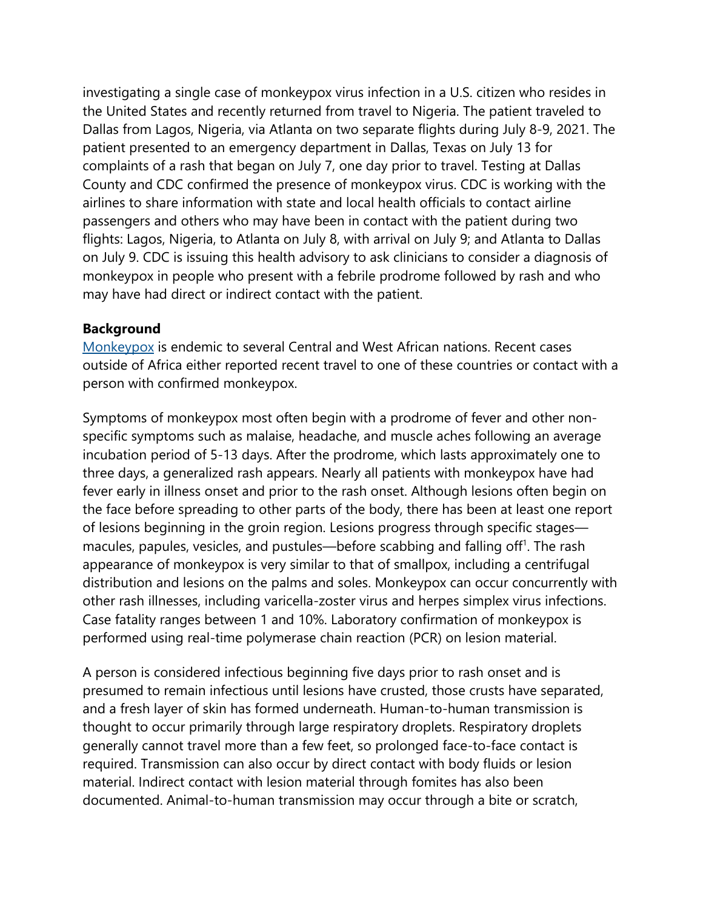investigating a single case of monkeypox virus infection in a U.S. citizen who resides in the United States and recently returned from travel to Nigeria. The patient traveled to Dallas from Lagos, Nigeria, via Atlanta on two separate flights during July 8-9, 2021. The patient presented to an emergency department in Dallas, Texas on July 13 for complaints of a rash that began on July 7, one day prior to travel. Testing at Dallas County and CDC confirmed the presence of monkeypox virus. CDC is working with the airlines to share information with state and local health officials to contact airline passengers and others who may have been in contact with the patient during two flights: Lagos, Nigeria, to Atlanta on July 8, with arrival on July 9; and Atlanta to Dallas on July 9. CDC is issuing this health advisory to ask clinicians to consider a diagnosis of monkeypox in people who present with a febrile prodrome followed by rash and who may have had direct or indirect contact with the patient.

## **Background**

[Monkeypox](https://www.cdc.gov/poxvirus/monkeypox/) is endemic to several Central and West African nations. Recent cases outside of Africa either reported recent travel to one of these countries or contact with a person with confirmed monkeypox.

Symptoms of monkeypox most often begin with a prodrome of fever and other nonspecific symptoms such as malaise, headache, and muscle aches following an average incubation period of 5-13 days. After the prodrome, which lasts approximately one to three days, a generalized rash appears. Nearly all patients with monkeypox have had fever early in illness onset and prior to the rash onset. Although lesions often begin on the face before spreading to other parts of the body, there has been at least one report of lesions beginning in the groin region. Lesions progress through specific stages macules, papules, vesicles, and pustules—before scabbing and falling off<sup>1</sup>. The rash appearance of monkeypox is very similar to that of smallpox, including a centrifugal distribution and lesions on the palms and soles. Monkeypox can occur concurrently with other rash illnesses, including varicella-zoster virus and herpes simplex virus infections. Case fatality ranges between 1 and 10%. Laboratory confirmation of monkeypox is performed using real-time polymerase chain reaction (PCR) on lesion material.

A person is considered infectious beginning five days prior to rash onset and is presumed to remain infectious until lesions have crusted, those crusts have separated, and a fresh layer of skin has formed underneath. Human-to-human transmission is thought to occur primarily through large respiratory droplets. Respiratory droplets generally cannot travel more than a few feet, so prolonged face-to-face contact is required. Transmission can also occur by direct contact with body fluids or lesion material. Indirect contact with lesion material through fomites has also been documented. Animal-to-human transmission may occur through a bite or scratch,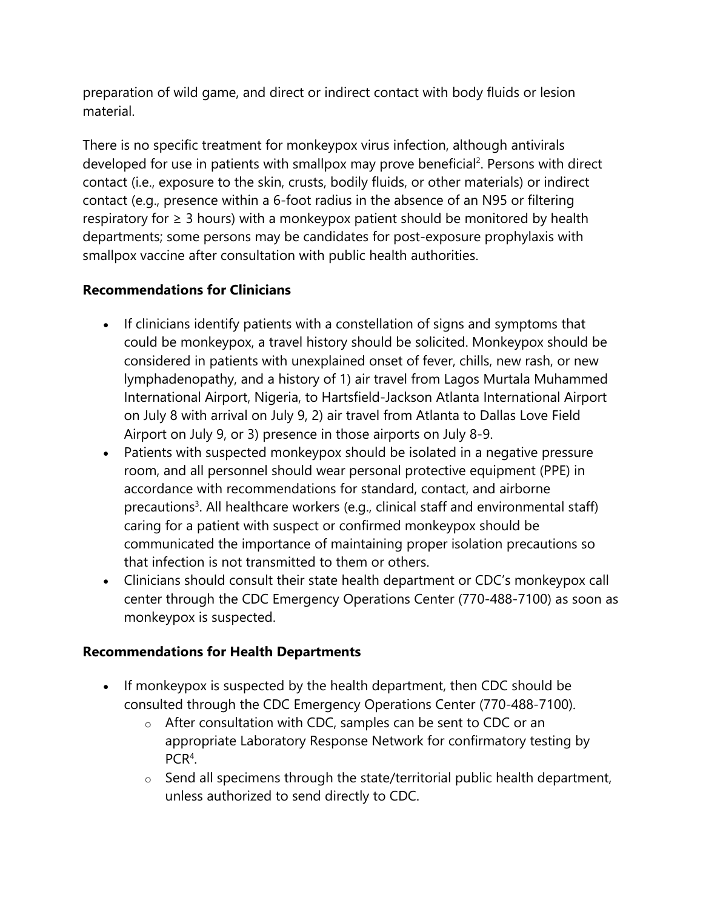preparation of wild game, and direct or indirect contact with body fluids or lesion material.

There is no specific treatment for monkeypox virus infection, although antivirals developed for use in patients with smallpox may prove beneficial<sup>2</sup>. Persons with direct contact (i.e., exposure to the skin, crusts, bodily fluids, or other materials) or indirect contact (e.g., presence within a 6-foot radius in the absence of an N95 or filtering respiratory for  $\geq 3$  hours) with a monkeypox patient should be monitored by health departments; some persons may be candidates for post-exposure prophylaxis with smallpox vaccine after consultation with public health authorities.

# **Recommendations for Clinicians**

- If clinicians identify patients with a constellation of signs and symptoms that could be monkeypox, a travel history should be solicited. Monkeypox should be considered in patients with unexplained onset of fever, chills, new rash, or new lymphadenopathy, and a history of 1) air travel from Lagos Murtala Muhammed International Airport, Nigeria, to Hartsfield-Jackson Atlanta International Airport on July 8 with arrival on July 9, 2) air travel from Atlanta to Dallas Love Field Airport on July 9, or 3) presence in those airports on July 8-9.
- Patients with suspected monkeypox should be isolated in a negative pressure room, and all personnel should wear personal protective equipment (PPE) in accordance with recommendations for standard, contact, and airborne precautions<sup>3</sup>. All healthcare workers (e.g., clinical staff and environmental staff) caring for a patient with suspect or confirmed monkeypox should be communicated the importance of maintaining proper isolation precautions so that infection is not transmitted to them or others.
- Clinicians should consult their state health department or CDC's monkeypox call center through the CDC Emergency Operations Center (770-488-7100) as soon as monkeypox is suspected.

# **Recommendations for Health Departments**

- If monkeypox is suspected by the health department, then CDC should be consulted through the CDC Emergency Operations Center (770-488-7100).
	- o After consultation with CDC, samples can be sent to CDC or an appropriate Laboratory Response Network for confirmatory testing by PCR<sup>4</sup>.
	- $\circ$  Send all specimens through the state/territorial public health department, unless authorized to send directly to CDC.